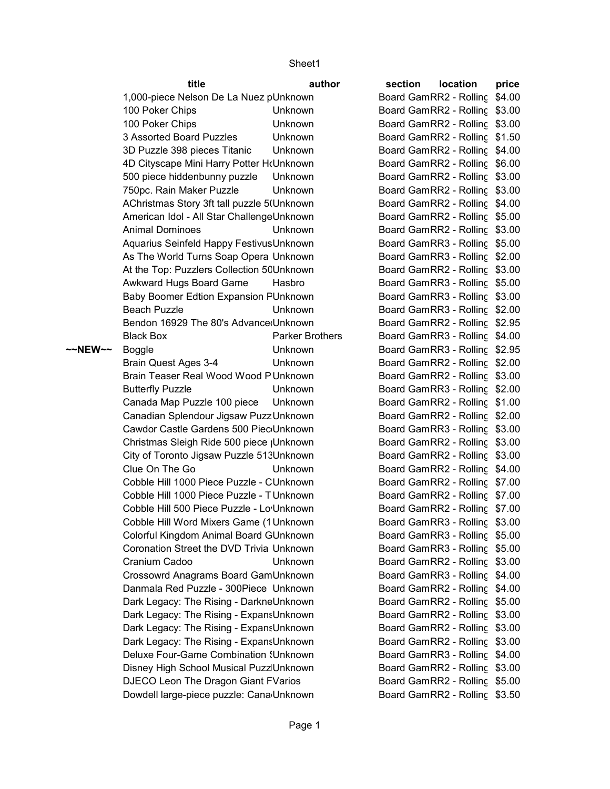Sheet1

|         | title                                                                              | author          | section                       | location | price |
|---------|------------------------------------------------------------------------------------|-----------------|-------------------------------|----------|-------|
|         | 1,000-piece Nelson De La Nuez pUnknown                                             |                 | Board GamRR2 - Rolling \$4.00 |          |       |
|         | 100 Poker Chips                                                                    | <b>Unknown</b>  | Board GamRR2 - Rolling \$3.00 |          |       |
|         | 100 Poker Chips                                                                    | Unknown         | Board GamRR2 - Rolling \$3.00 |          |       |
|         | 3 Assorted Board Puzzles                                                           | Unknown         | Board GamRR2 - Rolling \$1.50 |          |       |
|         | 3D Puzzle 398 pieces Titanic                                                       | Unknown         | Board GamRR2 - Rolling \$4.00 |          |       |
|         | 4D Cityscape Mini Harry Potter HrUnknown                                           |                 | Board GamRR2 - Rolling \$6.00 |          |       |
|         | 500 piece hiddenbunny puzzle                                                       | Unknown         | Board GamRR2 - Rolling \$3.00 |          |       |
|         | 750pc. Rain Maker Puzzle                                                           | Unknown         | Board GamRR2 - Rolling \$3.00 |          |       |
|         | AChristmas Story 3ft tall puzzle 5(Unknown                                         |                 | Board GamRR2 - Rolling \$4.00 |          |       |
|         | American Idol - All Star ChallengeUnknown                                          |                 | Board GamRR2 - Rolling \$5.00 |          |       |
|         | <b>Animal Dominoes</b>                                                             | Unknown         | Board GamRR2 - Rolling \$3.00 |          |       |
|         | Aquarius Seinfeld Happy Festivus Unknown                                           |                 | Board GamRR3 - Rolling \$5.00 |          |       |
|         | As The World Turns Soap Opera Unknown                                              |                 | Board GamRR3 - Rolling \$2.00 |          |       |
|         | At the Top: Puzzlers Collection 5CUnknown                                          |                 | Board GamRR2 - Rolling \$3.00 |          |       |
|         | Awkward Hugs Board Game                                                            | Hasbro          | Board GamRR3 - Rolling \$5.00 |          |       |
|         | Baby Boomer Edtion Expansion FUnknown                                              |                 | Board GamRR3 - Rolling \$3.00 |          |       |
|         | <b>Beach Puzzle</b>                                                                | <b>Unknown</b>  | Board GamRR3 - Rolling \$2.00 |          |       |
|         | Bendon 16929 The 80's Advance Unknown                                              |                 | Board GamRR2 - Rolling \$2.95 |          |       |
|         | <b>Black Box</b>                                                                   | Parker Brothers | Board GamRR3 - Rolling \$4.00 |          |       |
| ~~NEW~~ | <b>Boggle</b>                                                                      | Unknown         | Board GamRR3 - Rolling \$2.95 |          |       |
|         | Brain Quest Ages 3-4                                                               | Unknown         | Board GamRR2 - Rolling \$2.00 |          |       |
|         | Brain Teaser Real Wood Wood P Unknown                                              |                 | Board GamRR2 - Rolling \$3.00 |          |       |
|         | <b>Butterfly Puzzle</b>                                                            | Unknown         | Board GamRR3 - Rolling \$2.00 |          |       |
|         | Canada Map Puzzle 100 piece                                                        | Unknown         | Board GamRR2 - Rolling \$1.00 |          |       |
|         | Canadian Splendour Jigsaw Puzz Unknown                                             |                 | Board GamRR2 - Rolling \$2.00 |          |       |
|         | Cawdor Castle Gardens 500 Piec Unknown                                             |                 | Board GamRR3 - Rolling \$3.00 |          |       |
|         | Christmas Sleigh Ride 500 piece   Unknown                                          |                 | Board GamRR2 - Rolling \$3.00 |          |       |
|         | City of Toronto Jigsaw Puzzle 513Unknown                                           |                 | Board GamRR2 - Rolling \$3.00 |          |       |
|         | Clue On The Go                                                                     | <b>Unknown</b>  | Board GamRR2 - Rolling \$4.00 |          |       |
|         | Cobble Hill 1000 Piece Puzzle - CUnknown                                           |                 | Board GamRR2 - Rolling \$7.00 |          |       |
|         | Cobble Hill 1000 Piece Puzzle - TUnknown                                           |                 | Board GamRR2 - Rolling \$7.00 |          |       |
|         | Cobble Hill 500 Piece Puzzle - Lo Unknown                                          |                 | Board GamRR2 - Rolling \$7.00 |          |       |
|         | Cobble Hill Word Mixers Game (1 Unknown                                            |                 | Board GamRR3 - Rolling \$3.00 |          |       |
|         | Colorful Kingdom Animal Board GUnknown                                             |                 | Board GamRR3 - Rolling \$5.00 |          |       |
|         | Coronation Street the DVD Trivia Unknown                                           |                 | Board GamRR3 - Rolling \$5.00 |          |       |
|         | Cranium Cadoo                                                                      | Unknown         | Board GamRR2 - Rolling \$3.00 |          |       |
|         | Crossowrd Anagrams Board GamUnknown                                                |                 | Board GamRR3 - Rolling \$4.00 |          |       |
|         | Danmala Red Puzzle - 300Piece Unknown                                              |                 | Board GamRR2 - Rolling \$4.00 |          |       |
|         | Dark Legacy: The Rising - DarkneUnknown<br>Dark Legacy: The Rising - ExpansUnknown |                 | Board GamRR2 - Rolling \$5.00 |          |       |
|         |                                                                                    |                 | Board GamRR2 - Rolling \$3.00 |          |       |
|         | Dark Legacy: The Rising - ExpansUnknown                                            |                 | Board GamRR2 - Rolling \$3.00 |          |       |
|         | Dark Legacy: The Rising - ExpansUnknown                                            |                 | Board GamRR2 - Rolling \$3.00 |          |       |
|         | <b>Deluxe Four-Game Combination (Unknown</b>                                       |                 | Board GamRR3 - Rolling \$4.00 |          |       |
|         | Disney High School Musical Puzz Unknown                                            |                 | Board GamRR2 - Rolling \$3.00 |          |       |
|         | DJECO Leon The Dragon Giant FVarios                                                |                 | Board GamRR2 - Rolling \$5.00 |          |       |
|         | Dowdell large-piece puzzle: Cana Unknown                                           |                 | Board GamRR2 - Rolling \$3.50 |          |       |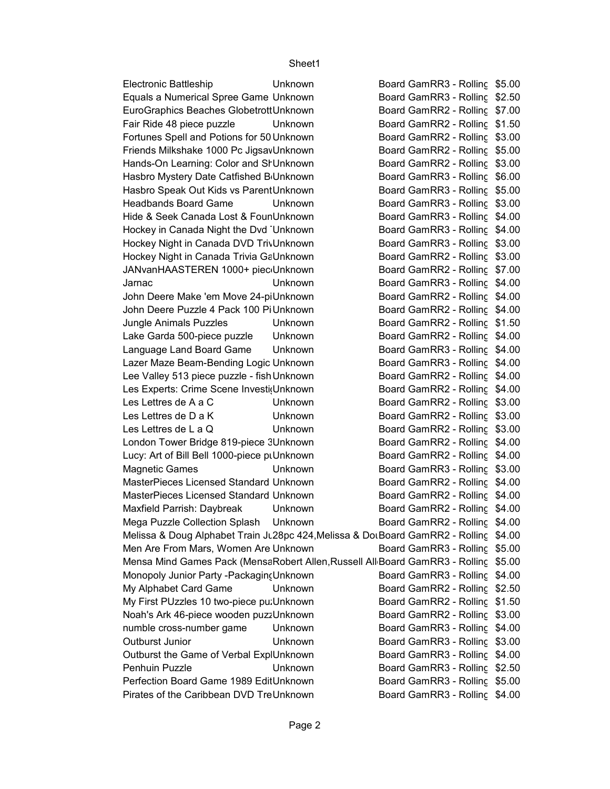Sheet1

Electronic Battleship Unknown Board GamRR3 - Rolling \$5.00 Board GamRR3 - Rolling \$2.50 Board GamRR2 - Rolling \$7.00 Fair Ride 48 piece puzzle Unknown Board GamRR2 - Rolling \$1.50 Board GamRR2 - Rolling \$3.00 Board GamRR2 - Rolling \$5.00 Board GamRR2 - Rolling \$3.00 Board GamRR3 - Rolling \$6.00 Board GamRR3 - Rolling \$5.00 Headbands Board Game Unknown Board GamRR3 - Rolling \$3.00 Board GamRR3 - Rolling \$4.00 Board GamRR3 - Rolling \$4.00 Board GamRR3 - Rolling \$3.00 Board GamRR2 - Rolling \$3.00 Board GamRR2 - Rolling \$7.00 \$4.00 Jarnac Unknown Board GamesRR3 - Rolling Rack Side 3 Board GamRR2 - Rolling \$4.00 Board GamRR2 - Rolling \$4.00 Jungle Animals Puzzles Unknown Board GamRR2 - Rolling \$1.50 Lake Garda 500-piece puzzle Unknown Board GamRR2 - Rolling \$4.00 Language Land Board Game Unknown Board GamRR3 - Rolling \$4.00 Board GamRR3 - Rolling \$4.00 Board GamRR2 - Rolling \$4.00 Board GamRR2 - Rolling \$4.00 Les Lettres de A a C Unknown Board GamRR2 - Rolling \$3.00 Les Lettres de D a K Unknown Board GamRR2 - Rolling \$3.00 Les Lettres de L a Q Unknown Board GamRR2 - Rolling \$3.00 Board GamRR2 - Rolling \$4.00 Board GamRR2 - Rolling \$4.00 Magnetic Games Unknown Board GamRR3 - Rolling \$3.00 Board GamRR2 - Rolling \$4.00 Board GamRR2 - Rolling \$4.00 Maxfield Parrish: Daybreak Unknown Board GamRR2 - Rolling \$4.00 Board GamRR2 - Rolling \$4.00 Melissa & Doug Alphabet Train J∟28pc 424,Melissa & DoเBoard GamRR2 - Rolling \$4.00 Board GamRR3 - Rolling \$5.00 Mensa Mind Games Pack (MensaRobert Allen,Russell All<sub>'</sub>Board GamRR3 - Rolling \$5.00 Board GamRR3 - Rolling \$4.00 My Alphabet Card Game Unknown Board GamRR2 - Rolling \$2.50 Board GamRR2 - Rolling \$1.50 Board GamRR2 - Rolling \$3.00 numble cross-number game Unknown Board GamRR3 - Rolling \$4.00 Outburst Junior Unknown Board GamRR3 - Rolling \$3.00 Board GamRR3 - Rolling \$4.00 Penhuin Puzzle Unknown Board GamRR3 - Rolling \$2.50 Board GamRR3 - Rolling \$5.00 Board GamRR3 - Rolling \$4.00 Equals a Numerical Spree Game Unknown EuroGraphics Beaches Globetrott Unknown Fortunes Spell and Potions for 50 Unknown Friends Milkshake 1000 Pc Jigsav Unknown Hands-On Learning: Color and SI Unknown Hasbro Mystery Date Catfished B<sub>Unknown</sub> Hasbro Speak Out Kids vs Parent Unknown Hide & Seek Canada Lost & FounUnknown Hockey in Canada Night the Dvd Unknown Hockey Night in Canada DVD TrivUnknown Hockey Night in Canada Trivia GaUnknown JANvanHAASTEREN 1000+ piec<sub>'</sub>Unknown John Deere Make 'em Move 24-piUnknown John Deere Puzzle 4 Pack 100 Pi Unknown Lazer Maze Beam-Bending Logic Unknown Lee Valley 513 piece puzzle - fish Unknown Les Experts: Crime Scene Investi(Unknown London Tower Bridge 819-piece 3Unknown Lucy: Art of Bill Bell 1000-piece pt Unknown MasterPieces Licensed Standard Unknown - Naster Pieces Licensed Standard Unknown MasterPieces Licensed Standard Unknown Mega Puzzle Collection Splash Unknown Men Are From Mars, Women Are Unknown Monopoly Junior Party - Packaging Unknown My First PUzzles 10 two-piece pu: Unknown Noah's Ark 46-piece wooden puzzUnknown Outburst the Game of Verbal ExplUnknown Perfection Board Game 1989 EditUnknown Pirates of the Caribbean DVD TreUnknown